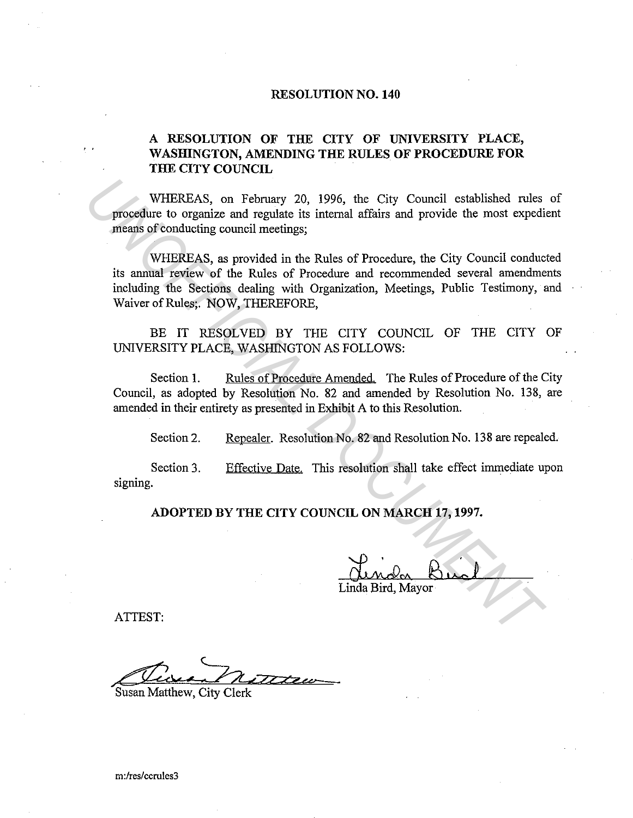### **RESOLUTION NO. 140**

## **A RESOLUTION OF THE CITY OF UNIVERSITY PLACE, WASHINGTON, AMENDING THE RULES OF PROCEDURE FOR THE CITY COUNCIL**

WHEREAS, on February 20, 1996, the City Council established rules of procedure to organize and regulate its internal affairs and provide the most expedient means of conducting council meetings;

WHEREAS, as provided in the Rules of Procedure, the City Council conducted its annual review of the Rules of Procedure and recommended several amendments including the Sections dealing with Organization, Meetings, Public Testimony, and Waiver of Rules;. NOW, THEREFORE, WHEREAS, on February 20, 1996, the City Council established rules<br>procedure to organize and regulate its internal affairs and provide the most expediments of conducting council meetings;<br>WHEREAS, as provided in the Rules o

BE IT RESOLVED BY THE CITY COUNCIL OF THE CITY OF UNIVERSITY PLACE, WASHINGTON AS FOLLOWS:

Section 1. Rules of Procedure Amended. The Rules of Procedure of the City Council, as adopted by Resolution No. 82 and amended by Resolution No. 138, are amended in their entirety as presented in Exhibit A to this Resolution.

Section 2. Repealer. Resolution No. 82 and Resolution No. 138 are repealed.

Section 3. signing. Effective Date. This resolution shall take effect immediate upon

**ADOPTED BY THE CITY COUNCIL ON MARCH 17, 1997.** 

Linda Bird, Mayor

ATTEST:

..

Simmon noteur

Susan Matthew, City Clerk

m:/res/ccrules3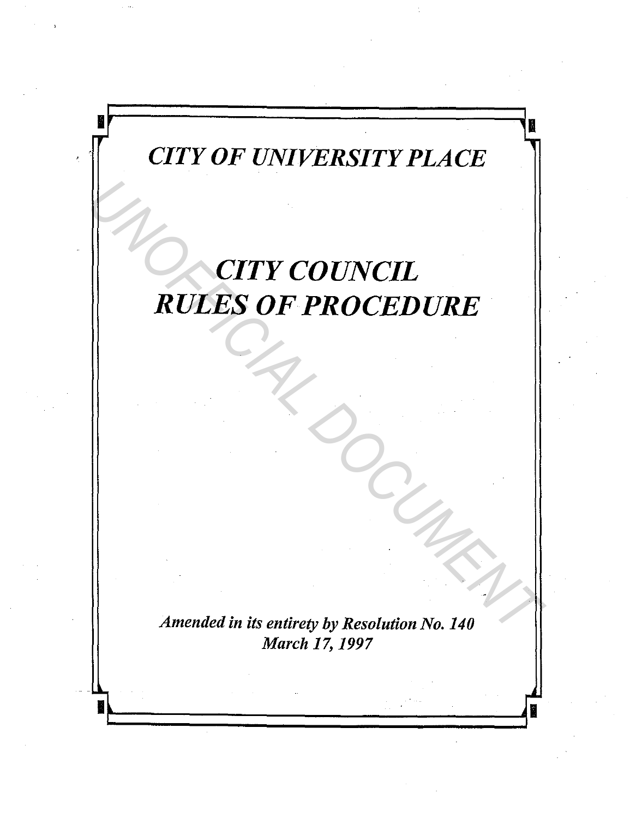# *CITY OF UNIVERSITY PLACE*

**ii** .,

I •

# *CITY COUNCIL RULES OF PROCEDURE RULES OF PROCEDURE*<br> *RULES OF PROCEDURE*

*Amended in its entirety by Resolution No. 140 March 17, 1997* 

. ~ ~

•,.\_~~~~~~~~~~~~~\_\_.,•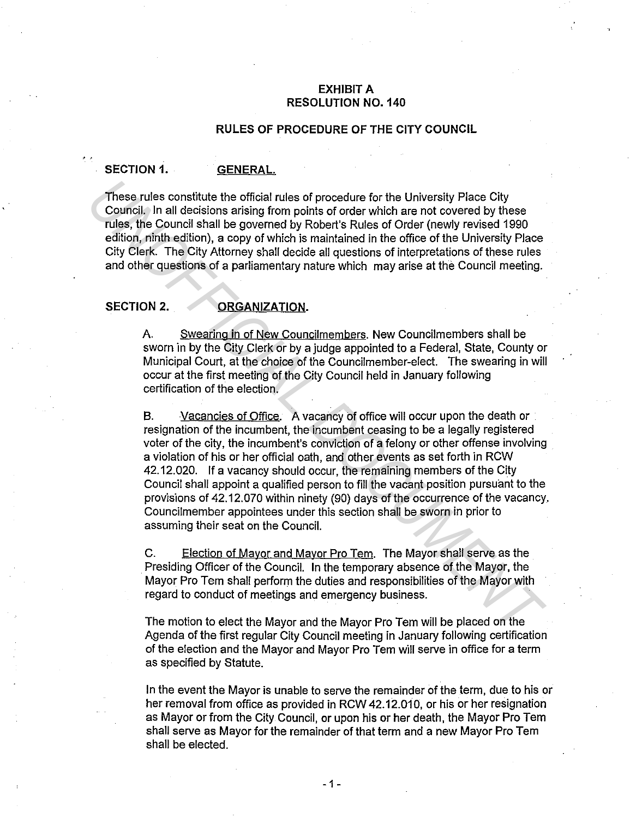### **EXHIBIT A RESOLUTION NO. 140**

### **RULES OF PROCEDURE OF THE CITY COUNCIL**

### **SECTION 1. GENERAL.**

These rules constitute the official rules of procedure for the University Place City Council. In all decisions arising from points of order which are not covered by these rules, the Council shall be governed by Robert's Rules of Order (newly revised 1990 edition, ninth edition), a copy of which is maintained in the office of the University Place City Clerk. The City Attorney shall decide all questions of interpretations of these rules and other questions of a parliamentary nature which may arise at the Council meeting.

### SECTION 2. **ORGANIZATION.**

A. Swearing in of New Councilmembers. New Councilmembers shall be sworn in by the City Clerk or by a judge appointed to a Federal, State, County or Municipal Court, at the choice of the Councilmember-elect. The swearing in will occur at the first meeting of the City Council held in January following certification of the election.

B. Vacancies of Office. A vacancy of office will occur upon the death or resignation of the incumbent, the incumbent ceasing to be a legally registered voter of the city, the incumbent's conviction of a felony or other offense involving a violation of his or her official oath, and other events as set forth in RCW 42.12.020. If a vacancy should occur, the remaining members of the City Council shall appoint a qualified person to fill the vacant position pursuant to the provisions of 42.12.070 within ninety (90) days of the occurrence of the vacancy. Councilmember appointees under this section shall be sworn in prior to assuming their seat on the Council. These rules constitute the official rules of procedure for the University Piace City<br>Council, In all decisions arising from points of order which are not covered by these<br>rules, the Council shall be governed by Robert's Ru

C. Election of Mayor and Mayor Pro Tem. The Mayor shall serve as the . Presiding Officer of the Council. In the temporary absence of the Mayor, the Mayor Pro Tern shall perform the duties and responsibilities of the Mayor with regard to conduct of meetings and emergency business.

The motion to elect the Mayor and the Mayor Pro Tem will be placed on the Agenda of the first regular City Council meeting in January following certification of the election and the Mayor and Mayor Pro Tern will serve in office for a term as specified by Statute.

In the event the Mayor is unable to serve the remainder of the term, due to his or her removal from office as provided in RCW 42.12.010, or his or her resignation as Mayor or from the City Council, or upon his or her death, the Mayor Pro Tern shall serve as Mayor for the remainder of that term and a new Mayor Pro Tern shall be elected.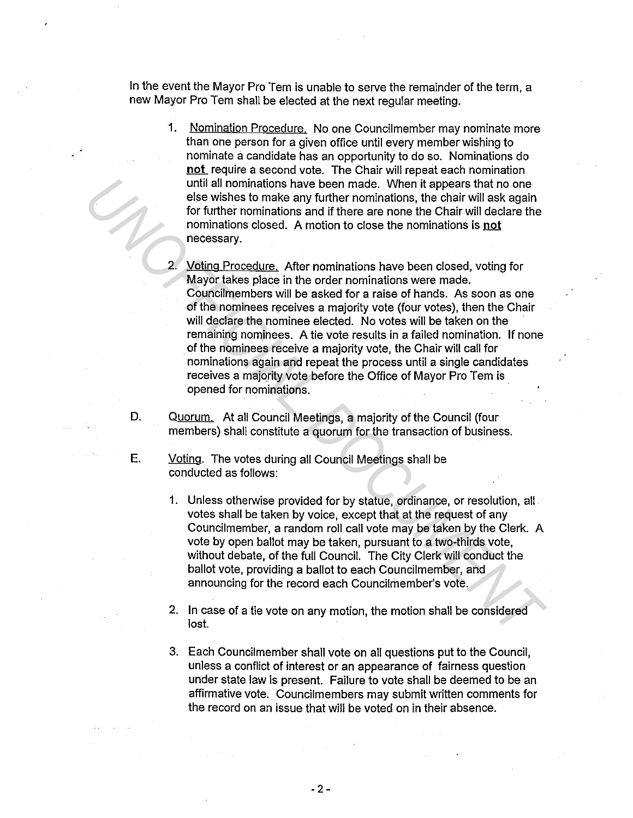In the event the Mayor Pro Tem is unable to serve the remainder of the term, a new Mayor Pro Tem shall be elected at the next regular meeting.

- 1. Nomination Procedure. No one Councilmember may nominate more than one person for a given office until every member wishing to nominate a candidate has an opportunity to do so. Nominations do **not** require a second vote. The Chair will repeat each nomination until all nominations have been made. When it appears that no one else wishes to make any further nominations, the chair will ask again for further nominations and if there are none the Chair will declare the nominations closed. A motion to close the nominations is **not**  necessary.
- 2. Voting Procedure. After nominations have been closed, voting for Mayor takes place in the order nominations were made. Councilmembers will be asked for a raise of hands. As soon as one of the nominees receives a majority vote {four votes), then the Chair will declare the nominee elected. No votes will be taken on the remaining nominees. A tie vote results in a failed nomination. If none of the nominees receive a majority vote, the Chair will call for nominations again and repeat the process until a single candidates receives a majority vote before the Office of Mayor Pro Tem is opened for nominations. · **Leading that including have been made.** When it appears that no one<br>else wishes to make any further nominations, the chair will ask again<br>for further nominations and if there are none the Chair will declare the<br>normalizon
	- D. Quorum. At all Council Meetings, a majority of the Council {four members) shall constitute a quorum for the transaction of business.
	- E. Voting. The votes during all Council Meetings shall be conducted as follows:
		- 1. Unless otherwise provided for by statue, ordinance, or resolution, all votes shall be taken by voice, except that at the request of any Councilmember, a random roll call vote may be taken by the Clerk. A vote by open ballot may be taken, pursuant to a two-thirds vote, without debate, of the full Council. The City Clerk will conduct the ballot vote, providing a ballot to each Councilmember, and announcing for the record each Councilmember's vote.
		- 2. In case of a tie vote on any motion, the motion shall be considered lost.
		- 3. Each Councilmember shall vote on all questions put to the Council, unless a conflict of interest or an appearance of fairness question under state law is present. Failure to vote shall be deemed to be an affirmative vote. Councilmembers may submit written comments for the record on an issue that will be voted on in their absence.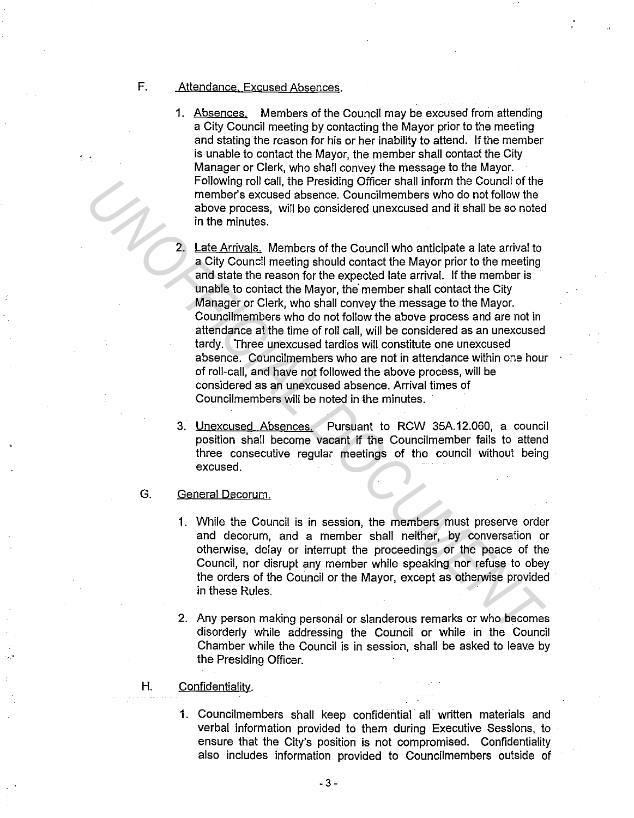### F. Attendance. Excused Absences.

..

- 1. Absences. Members of the Council may be excused from attending a City Council meeting by contacting the Mayor prior to the meeting and stating the reason for his or her inability to attend. If the member is unable to contact the Mayor, the member shall contact the City Manager or Clerk, who shall convey the message to the Mayor. Following roll call, the Presiding Officer shall inform the Council of the member's excused absence. Councilmembers who do not follow the above process, will be considered unexcused and it shall be so noted in the minutes.
- 2. Late Arrivals. Members of the Council who anticipate a late arrival to a City Council meeting should contact the Mayor prior to the meeting and state the reason for the expected late arrival. If the member is unable to contact the Mayor, the· member shall contact the City Manager or Clerk, who shall convey the message to the Mayor. Councilmembers who do not follow the above process and are not in attendance at the time of roll call, will be considered as an unexcused tardy. Three unexcused tardies will constitute one unexcused absence. Councilmembers who are not in attendance within one hour of roll-call, and have not followed the above process, will be considered as an unexcused absence. Arrival times of Councilmembers will be noted in the minutes. Following roll call, the Presiding Officers fall inform the Council of the Council Chemeter's excused absence. Councilmembers who do not follow the above process, will be considered unexcused and it shall be so noted to th
	- 3. Unexcused Absences. Pursuant to RCW 35A.12.060, a council position shall become vacant if the Councilmember fails to attend three consecutive regular meetings of the council without being excused.
	- G. General Decorum.
		- 1. While the Council is in session, the members must preserve order and decorum, and a member shall neither, by conversation or otherwise, delay or interrupt the proceedings or the peace of the Council, nor disrupt any member while speaking nor refuse to obey the orders of the Council or the Mayor, except as otherwise provided in these Rules.
		- 2. Any person making personal or slanderous remarks or who becomes disorderly while addressing the Council or while in the Council Chamber while the Council is in session, shall be asked to leave by the Presiding Officer.
	- H. Confidentiality.
		- 1. Councilmembers shall keep confidential all written materials and verbal information provided to them during Executive Sessions, to ensure that the City's position is not compromised. Confidentiality also includes information provided to Councilmembers outside of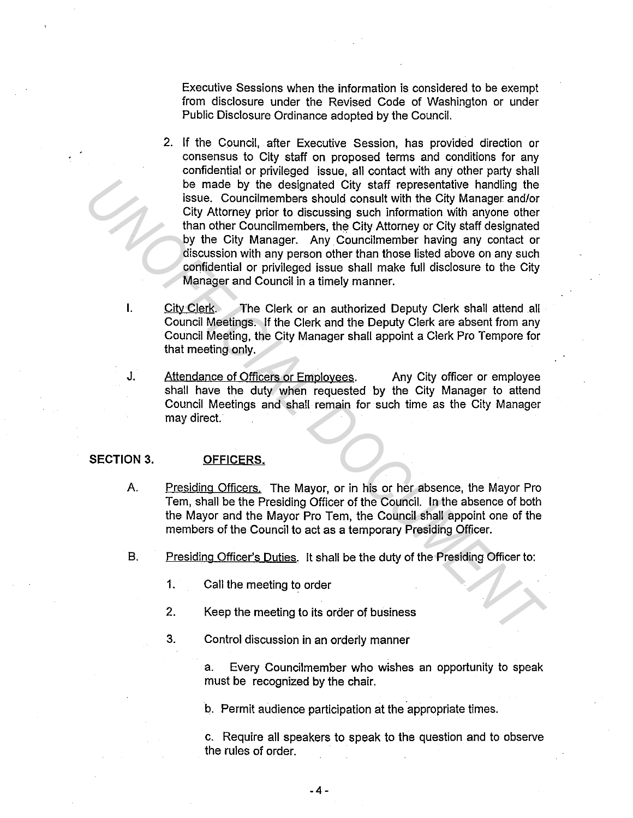Executive Sessions when the information is considered to be exempt from disclosure under the Revised Code of Washington or under Public Disclosure Ordinance adopted by the Council.

- 2. If the Council, after Executive Session, has provided direction or consensus to City staff on proposed terms and conditions for any confidential or privileged issue, all contact with any other party shall be made by the designated City staff representative handling the issue. Councilmembers should consult with the City Manager and/or City Attorney prior to discussing such information with anyone other than other Councilmembers, the City Attorney or City staff designated by the City Manager. Any Councilmember having any contact or discussion with any person other than those listed above on any such confidential or privileged issue shall make full disclosure to the City Manager and Council in a timely manner. **Example by the distinguish control is the most by the City Manager and the councilmenters should consult with the City Manager and/or City Attorney prior to discussing such information with anyone other than other Council** 
	- I. City Clerk. The Clerk or an authorized Deputy Clerk shall attend all Council Meetings. If the Clerk and the Deputy Clerk are absent from any Council Meeting, the City Manager shall appoint a Clerk Pro Tempore for that meeting only.
	- J. Attendance of Officers or Employees. Any City officer or employee shall have the duty when requested by the City Manager to attend Council Meetings and shall remain for such time as the City Manager may direct.

### **SECTION 3. OFFICERS.**

- A. Presiding Officers, The Mayor, or in his or her absence, the Mayor Pro Tem, shall be the Presiding Officer of the Council. In the absence of both the Mayor and the Mayor Pro Tem, the Council shall appoint one of the members of the Council to act as a temporary Presiding Officer.
- B. Presiding Officer's Duties. It shall be the duty of the Presiding Officer to:
	- 1. Call the meeting to order
	- 2. Keep the meeting to its order of business
	- 3. Control discussion in an orderly manner

a. Every Councilmember who wishes an opportunity to speak must be recognized by the chair.

b. Permit audience participation at the appropriate times.

c. Require all speakers to speak to the question and to observe the rules of order.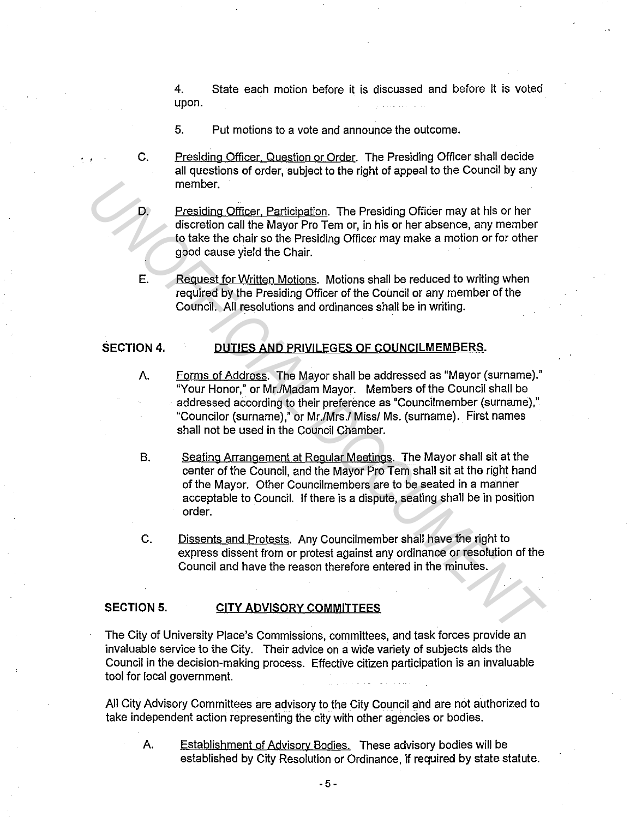4. State each motion before it is discussed and before it is voted upon.

- 5. Put motions to a vote and announce the outcome.
- $C_{\cdot}$ Presiding Officer, Question or Order. The Presiding Officer shall decide all questions of order, subject to the right of appeal to the Council by any member.
- D. Presiding Officer, Participation. The Presiding Officer may at his or her discretion call the Mayor Pro Tem or, in his or her absence, any member to take the chair so the Presiding Officer may make a motion or for other good cause yield the Chair.
- E. Request for Written Motions. Motions shall be reduced to writing when required by the Presiding Officer of the Council or any member of the Council. All resolutions and ordinances shall be in writing.

### **SECTION 4. DUTIES AND PRIVILEGES OF COUNCILMEMBERS.**

- A. Forms of Address. The Mayor shall be addressed as "Mayor (surname)." "Your Honor," or Mr./Madam Mayor. Members of the Council shall be addressed according to their preference as "Councilmember (surname)," "Councilor (surname)," or Mr./Mrs./ Miss/ Ms. (surname). First names shall not be used in the Council Chamber. **Example 1.**<br> **Example 1.1 Unicarity Change Control in the Mayor Pro Tem or, in his or her absence, any member**<br> **UNIFICIAL TO THE MAYE TO THE THE STATE OF THE CONDUCT CONDUCT CONDUCT CONDUCT CONDUCT CONDUCT CONDUCT COND** 
	- B. Seating Arrangement at Regular Meetings. The Mayor shall sit at the center of the Council, and the Mayor Pro Tem shall sit at the right hand of the Mayor. Other Councilmembers are to be seated in a manner acceptable to Council. If there is a dispute, seating shall be in position order.
	- C. Dissents and Protests. Any Councilmember shall have the right to express dissent from or protest against any ordinance or resolution of the Council and have the reason therefore entered in the minutes.

### **SECTION 5. CITY ADVISORY COMMITTEES**

The City of University Place's Commissions, committees, and task forces provide an invaluable service to the City. Their advice on a wide variety of subjects aids the Council in the decision-making process. Effective citizen participation is an invaluable tool for local government.

All City Advisory Committees are advisory to the City Council and are not authorized to take independent action representing the city with other agencies or bodies.

A. Establishment of Advisory Bodies. These advisory bodies will be established by City Resolution or Ordinance, if required by state statute.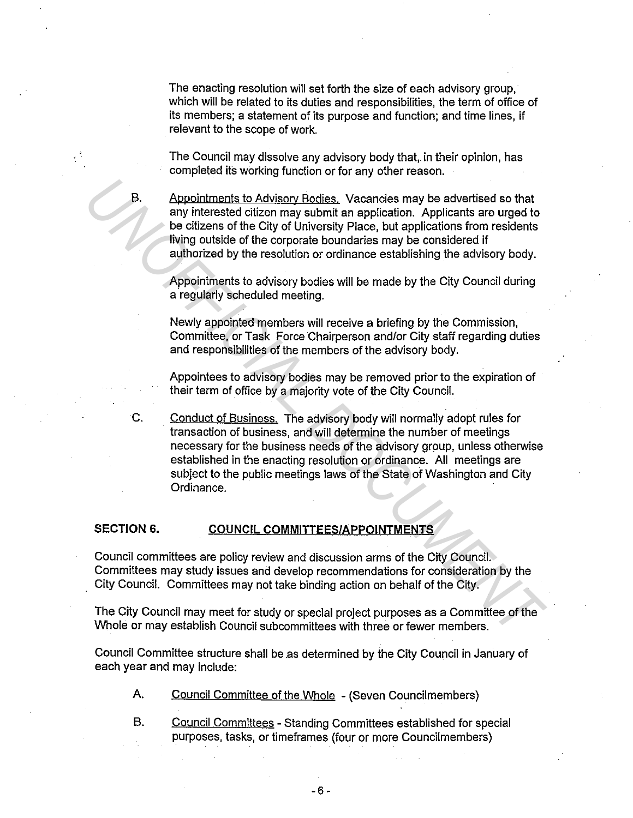The enacting resolution will set forth the size of each advisory group, which will be related to its duties and responsibilities, the term of office of its members; a statement of its purpose and function; and time lines, if relevant to the scope of work.

The Council may dissolve any advisory body that, in their opinion, has completed its working function or for any other reason.

Appointments to Advisory Bodies. Vacancies may be advertised so that any interested citizen may submit an application. Applicants are urged to be citizens of the City of University Place, but applications from residents living outside of the corporate boundaries may be considered if authorized by the resolution or ordinance establishing the advisory body.

Appointments to advisory bodies will be made by the City Council during a regularly scheduled meeting.

Newly appointed members will receive a briefing by the Commission, Committee, or Task Force Chairperson and/or City staff regarding duties and responsibilities of the members of the advisory body.

Appointees to advisory bodies may be removed prior to the expiration of their term of office by a majority vote of the City Council.

C. Conduct of Business. The advisory body will normally adopt rules for transaction of business, and will determine the number of meetings necessary for the business needs of the advisory group, unless otherwise established in the enacting resolution or ordinance. All meetings are subject to the public meetings laws of the State of Washington and City Ordinance. **EXEMPLE 15 ADVENTIFY SET ADVENTIFY ADDETERT AND THE CREAD THE CANNINGTON CONDUCTS CONDUCTS (THE CHANNING TO THE CHANNING TO THE CHANNINGT CONDUCTS (THE CHANNINGT CONDUCTS) THE CHANNINGT CONDUCTS ARE (THE CHANNINGT ADVENTI** 

### **SECTION 6. COUNCIL COMMITTEES/APPOINTMENTS**

Council committees are policy review and discussion arms of the City Council. Committees may study issues and develop recommendations for consideration by the City Council. Committees may not take binding action on behalf of the City.

The City Council may meet for study or special project purposes as a Committee of the Whole or may establish Council subcommittees with three or fewer members.

Council Committee structure shall be as determined by the City Council in January of each year and may include:

- A. Council Committee of the Whole (Seven Councilmembers)
- B. Council Committees Standing Committees established for special purposes, tasks, or timeframes (four or more Councilmembers)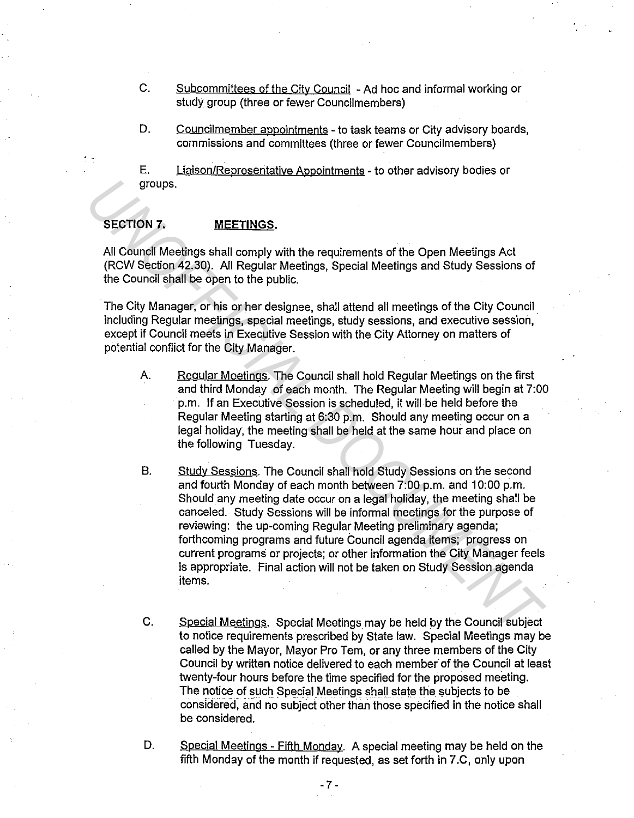- C. Subcommittees of the City Council Ad hoc and informal working or study group (three or fewer Councilmembers)
- D. Councilmember appointments to task teams or City advisory boards, commissions and committees (three or fewer Councilmembers)

E. Liaison/Representative Appointments - to other advisory bodies or groups.

### **SECTION 7. MEETINGS.**

All Council Meetings shall comply with the requirements of the Open Meetings Act (RCW Section 42.30). All Regular Meetings, Special Meetings and Study Sessions of the Council shall be open to the public.

The City Manager, or his or her designee, shall attend all meetings of the City Council including Regular meetings, special meetings, study sessions, and executive session, except if Council meets in Executive Session with the City Attorney on matters of potential conflict for the City Manager.

- A. Regular Meetings. The Council shall hold Regular Meetings on the first and third Monday of each month. The Regular Meeting will begin at 7:00 p.m. If an Executive Session is scheduled, it will be held before the Regular Meeting starting at 6:30 p.m. Should any meeting occur on a legal holiday, the meeting shall be held at the same hour and place on the following Tuesday.
- B. Study Sessions. The Council shall hold Study Sessions on the second and fourth Monday of each month between 7:00 p.m. and 10:00 p.m. Should any meeting date occur on a legal holiday, the meeting shall be canceled. Study Sessions will be informal meetings for the purpose of reviewing: the up-coming Regular Meeting preliminary agenda; forthcoming programs and future Council agenda items; progress on current programs or projects; or other information the City Manager feels is appropriate. Final action will not be taken on Study Session agenda items. **SECTION 7. MEETINGS.**<br> **SECTION 7. MEETINGS.**<br> **AII Council Meetings shall comply with the requirements of the Open Meetings Act**<br> **(RCW Section 42,30).** All Regular Meetings, Special Meetings and Study Sessions of<br>
t
	- C. Special Meetings. Special Meetings may be held by the Council subject to notice requirements prescribed by State law. Special Meetings may be called by the Mayor, Mayor Pro Tem, or any three members of the City Council by written notice delivered to each member of the Council at least twenty-four hours before the time specified for the proposed meeting. The notice of such Special Meetings shall state the subjects to be considered, and no subject other than those specified in the notice shall be considered.
	- D. Special Meetings Fifth Monday. A special meeting may be held on the fifth Monday of the month if requested, as set forth in 7.C, only upon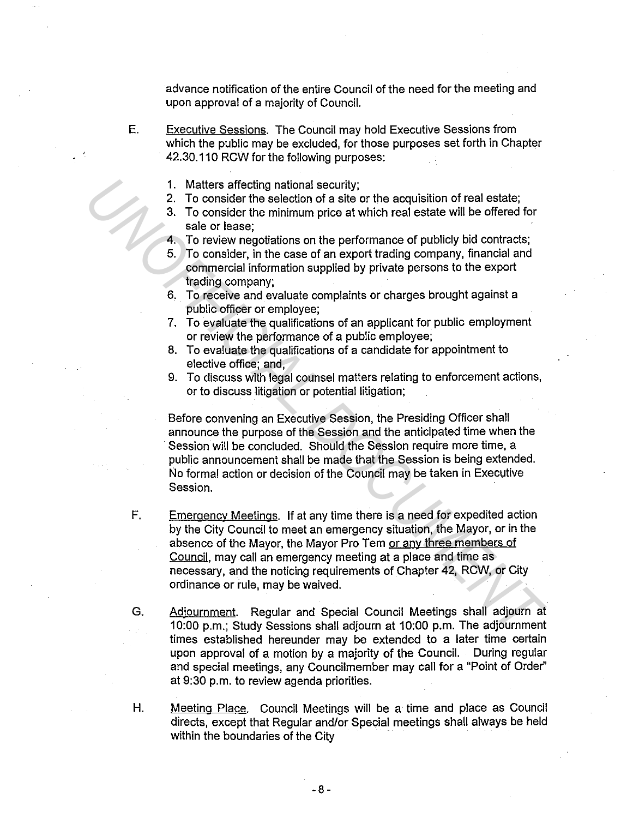advance notification of the entire Council of the need for the meeting and upon approval of a majority of Council.

- E. Executive Sessions. The Council may hold Executive Sessions from which the public may be excluded, for those purposes set forth in Chapter 42.30.110 RCW for the following purposes:
	- 1. Matters affecting national security;
	- 2. To consider the selection of a site or the acquisition of real estate;
	- 3. To consider the minimum price at which real estate will be offered for sale or lease;
	- 4. To review negotiations on the performance of publicly bid contracts;
	- 5. To consider, in the case of an export trading company, financial and commercial information supplied by private persons to the export trading company;
	- 6. To receive and evaluate complaints or charges brought against a public officer or employee;
	- 7. To evaluate the qualifications of an applicant for public employment or review the performance of a public employee;
	- 8. To evaluate the qualifications of a candidate for appointment to elective office; and,
	- 9. To discuss with legal counsel matters relating to enforcement actions, or to discuss litigation or potential litigation;

Before convening an Executive Session, the Presiding Officer shall announce the purpose of the Session and the anticipated time when the Session will be concluded. Should the Session require more time, a public announcement shall be made that the Session is being extended. No formal action or decision of the Council may be taken in Executive Session.

- F. Emergency Meetings. If at any time there is a need for expedited action by the City Council to meet an emergency situation, the Mayor, or in the absence of the Mayor, the Mayor Pro Tem or any three members of Council, may call an emergency meeting at a place and time as necessary, and the noticing requirements of Chapter 42, RCW, or City ordinance or rule, may be waived. 1. Matters affecting national security;<br>
2. To consider the selection of realistic contracts;<br>
2. To consider the smichlinom price at which real estate will be offered for<br>
sale or lease;<br>
1. To review negotiations on the
	- G. Adjournment. Regular and Special Council Meetings shall adjourn at 10:00 p.m.; Study Sessions shall adjourn at 10:00 p.m. The adjournment times established hereunder may be extended to a later time certain upon approval of a motion by a majority of the Council. During regular and special meetings, any Councilmember may call for a "Point of Order'' at 9:30 p.m. to review agenda priorities.
	- H. Meeting Place. Council Meetings will be a time and place as Council directs, except that Regular and/or Special meetings shall always be held within the boundaries of the City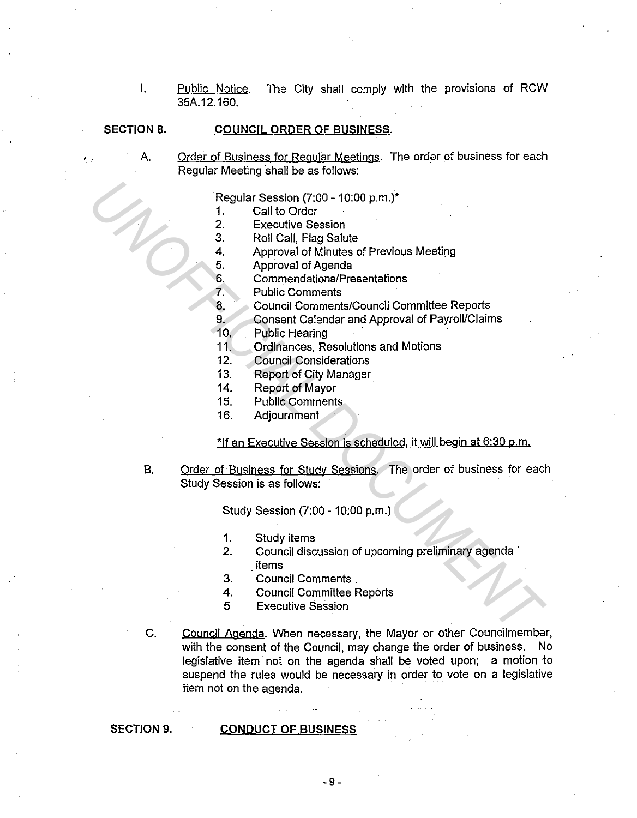I. Public Notice. The City shall comply with the provisions of RCW 35A.12.160.

### **SECTION 8. COUNCIL ORDER OF BUSINESS.**

A. Order of Business for Regular Meetings. The order of business for each Regular Meeting shall be as follows:

Regular Session (7:00 - 10:00 p.m.)\*

- 1. Call to Order
- 2. Executive Session
- 3. Roll Call, Flag Salute
- 4. Approval of Minutes of Previous Meeting
- 5. Approval of Agenda
- 6. Commendations/Presentations
- 7. Public Comments
- 8. Council Comments/Council Committee Reports
- 9. Consent Calendar and Approval of Payroll/Claims
- 10. Public Hearing
- 11. Ordinances, Resolutions and Motions
- 12. Council Considerations
- 13. Report of City Manager
- 14. Report of Mayor
- 15. Public Comments
- 16. Adjournment

### \*If an Executive Session is scheduled, it will begin at 6:30 p.m.

B. Order of Business for Study Sessions. The order of business for each Study Session is as follows: Regular Session (7:00 - 10:00 p.m.)\*<br>
1. Call to Order<br>
2. Executive Session<br>
2. Executive Session<br>
4. Approval of Martules of Previous Meeting<br>
5. Approval of Martules of Previous Meeting<br>
6. Connentations<br>
7. Public Comm

Study Session (7:00 - 10:00 p.m.)

- 1. Study items
- 2. Council discussion of upcoming preliminary agenda \_items
- 3. Council Comments .
- 4. Council Committee Reports
- 5 Executive Session
- C. Council Agenda. When necessary, the Mayor or other Councilmember, with the consent of the Council, may change the order of business. No legislative item not on the agenda shall be voted upon; a motion to suspend the rules would be necessary in order to vote on a legislative item not on the agenda.

### **SECTION 9. CONDUCT OF BUSINESS**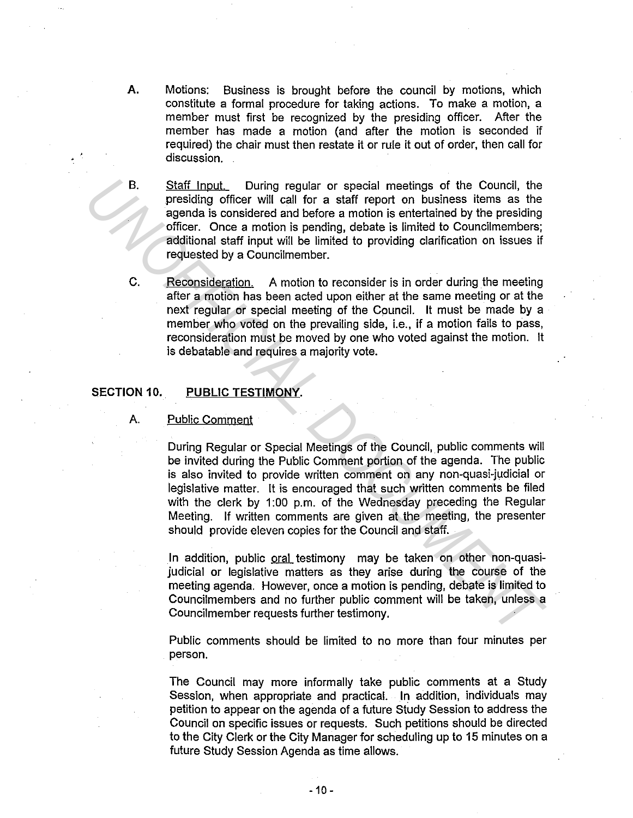- **A.** Motions: Business is brought before the council by motions, which constitute a formal procedure for taking actions. To make a motion, a member must first be recognized by the presiding officer. After the member has made a motion (and after the motion is seconded if required) the chair must then restate it or rule it out of order, then call for discussion.
- B. Staff Input. During regular or special meetings of the Council, the presiding officer will call for a staff report on business items as the agenda is considered and before a motion is entertained by the presiding officer. Once a motion is pending, debate is limited to Councilmembers; additional staff input will be limited to providing clarification on issues if requested by a Councilmember.
- C. Reconsideration. A motion to reconsider is in order during the meeting after a motion has been acted upon either at the same meeting or at the next regular or special meeting of the Council. It must be made by a member who voted on the prevailing side, i.e., if a motion fails to pass, reconsideration must be moved by one who voted against the motion. It is debatable and requires a majority vote.

### **SECTION 10. PUBLIC TESTIMONY.**

### A. Public Comment

During Regular or Special Meetings of the Council, public comments will be invited during the Public Comment portion of the agenda. The public is also invited to provide written comment on any non-quasi-judicial or legislative matter. It is encouraged that such written comments be filed with the clerk by 1:00 p.m. of the Wednesday preceding the Regular Meeting. If written comments are given at the meeting, the presenter should provide eleven copies for the Council and staff. **Example 12**<br> **Example 12** B. Staff Input. During regular or special meetings of the Council, the presiding officer will call for a sinf report on business terms as the separate is considered and before a motion is enterta

In addition, public oral testimony may be taken on other non-quasijudicial or legislative matters as they arise during the course of the meeting agenda. However, once a motion is pending, debate is limited to Councilmembers and no further public comment will be taken, unless a Councilmember requests further testimony.

Public comments should be limited to no more than four minutes per person.

The Council may more informally take public comments at a Study Session, when appropriate and practical. In addition, individuals may petition to appear on the agenda of a future Study Session to address the Council on specific issues or requests. Such petitions should be directed to the City Clerk or the City Manager for scheduling up to 15 minutes on a future Study Session Agenda as time allows.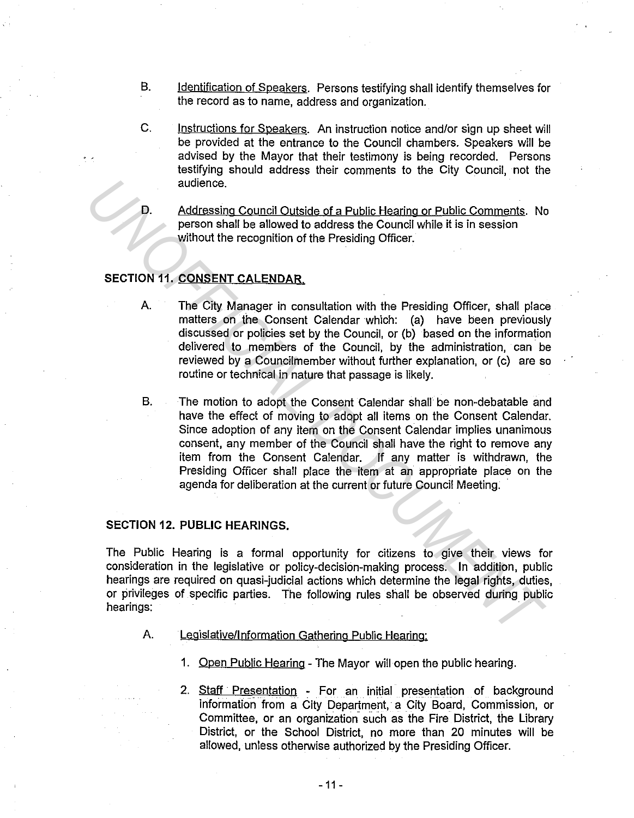- B. Identification of Speakers. Persons testifying shall identify themselves for the record as to name, address and organization.
- C. Instructions for Speakers. An instruction notice and/or sign up sheet will be provided at the entrance to the Council chambers. Speakers will be advised by the Mayor that their testimony is being recorded. Persons testifying should address their comments to the City Council, not the audience.
- D. Addressing Council Outside of a Public Hearing or Public Comments. No person shall be allowed to address the Council while it is in session without the recognition of the Presiding Officer.

## **SECTION 11. CONSENT CALENDAR.**

- A. The City Manager in consultation with the Presiding Officer, shall place matters on the Consent Calendar which: (a) have been previously discussed or policies set by the Council, or (b) based on the information delivered to members of the Council, by the administration, can be reviewed by a Councilmember without further explanation, or (c) are so routine or technical in nature that passage is likely.
- B. The motion to adopt the Consent Calendar shall be non-debatable and have the effect of moving to adopt all items on the Consent Calendar. Since adoption of any item on the Consent Calendar implies unanimous consent, any member of the Council shall have the right to remove any item from the Consent Calendar. If any matter is withdrawn, the Presiding Officer shall place the item at an appropriate place on the agenda for deliberation at the current or future Council Meeting. **Example 10**<br> **Example 10**<br> **Example 10**<br> **Example 10**<br> **Example 10**<br> **Example 10**<br> **Example 10**<br> **Example 10**<br> **Example 10**<br> **Example 10**<br> **Example 10**<br> **Example 10**<br> **Example 10**<br> **Example 10**<br> **Example 10**<br> **Example 10**

### **SECTION 12. PUBLIC HEARINGS.**

The Public Hearing is a formal opportunity for citizens to give their views for consideration in the legislative or policy-decision-making process. In addition, public hearings are required on quasi-judicial actions which determine the legal rights, duties, or privileges of specific parties. The following rules shall be observed during public hearings:

- A. Legislative/Information Gathering Public Hearing:
	- 1. Open Public Hearing The Mayor will open the public hearing.
	- 2. Staff Presentation For an initial presentation of background information from a City Department, a City Board, Commission, or Committee, or an organization such as the Fire District, the Library District, or the School District, no more than 20 minutes will be allowed, unless otherwise authorized by the Presiding Officer.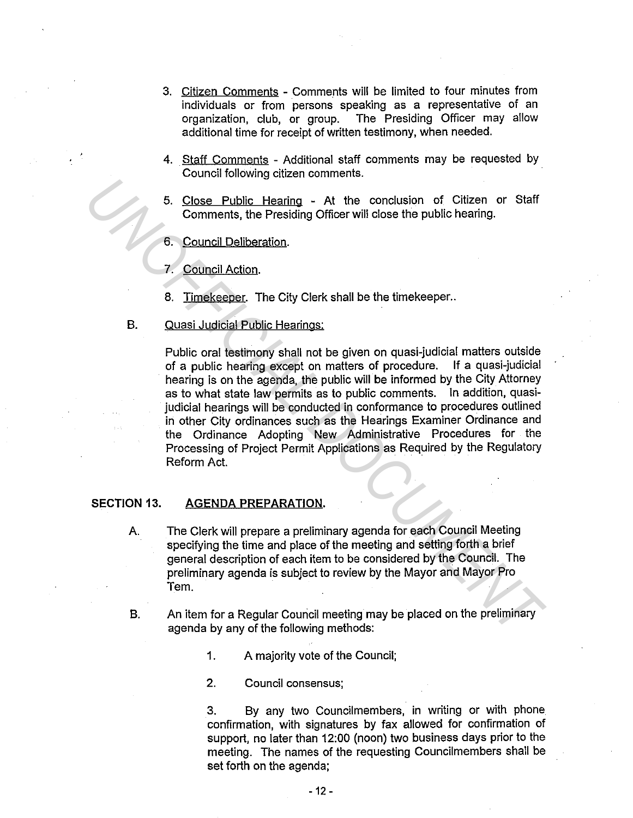- 3. Citizen Comments Comments will be limited to four minutes from individuals or from persons speaking as a representative of an organization, club, or group. The Presiding Officer may allow additional time for receipt of written testimony, when needed.
- 4. Staff Comments Additional staff comments may be requested by Council following citizen comments.
- 5. Close Public Hearing At the conclusion of Citizen or Staff Comments, the Presiding Officer will close the public hearing.
- 6. Council Deliberation.

7. Council Action.

- 8. Timekeeper. The City Clerk shall be the timekeeper..
- B. Quasi Judicial Public Hearings:

Public oral testimony shall not be given on quasi-judicial matters outside of a public hearing except on matters of procedure. If a quasi-judicial hearing is on the agenda, the public will be informed by the City Attorney as to what state law permits as to public comments. In addition, quasijudicial hearings will be conducted in conformance to procedures outlined in other City ordinances such as the Hearings Examiner Ordinance and the Ordinance Adopting New Administrative Procedures for the Processing of Project Permit Applications as Required by the Regulatory Reform Act. **Example 19 The United State of the State Properties Controlled State Properties Council Deliberation.**<br> **Example 19 The Presiding Officer will close the public hearing.**<br> **Example 19 The Presiding Officer will close the p** 

### **SECTION 13. AGENDA PREPARATION.**

A. The Clerk will prepare a preliminary agenda for each Council Meeting specifying the time and place of the meeting and setting forth a brief general description of each item to be considered by the Council. The preliminary agenda is subject to review by the Mayor and Mayor Pro Tem.

B. An item for a Regular Council meeting may be placed on the preliminary agenda by any of the following methods:

1. A majority vote of the Council;

2. Council consensus;

3. By any two Councilmembers, in writing or with phone confirmation, with signatures by fax allowed for confirmation of support, no later than 12:00 (noon) two business days prior to the meeting. The names of the requesting Councilmembers shall be set forth on the agenda;